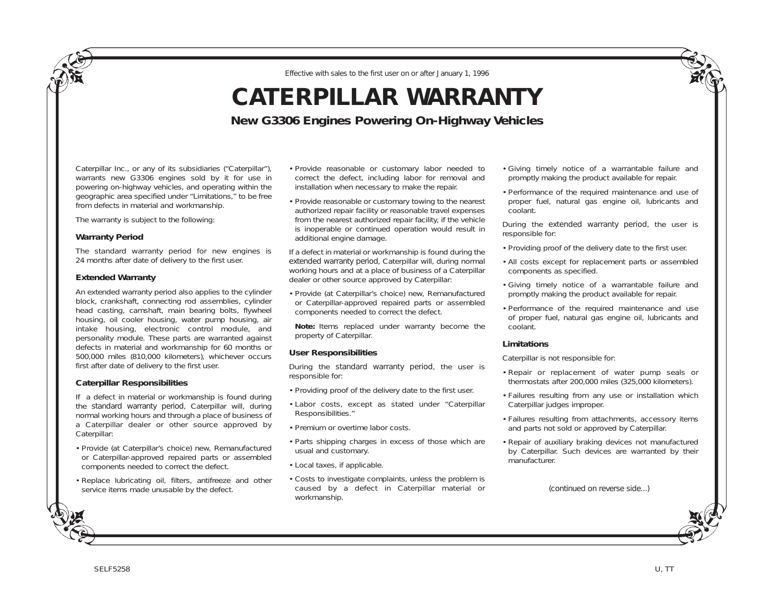*Effective with sales to the first user on or after January 1, 1996*

# **CATERPILLAR WARRANTY**

**New G3306 Engines Powering On-Highway Vehicles**

Caterpillar Inc., or any of its subsidiaries ("Caterpillar"), warrants new G3306 engines sold by it for use in powering on-highway vehicles, and operating within the geographic area specified under "Limitations," to be free from defects in material and workmanship.

The warranty is subject to the following:

### **Warranty Period**

The standard warranty period for new engines is 24 months after date of delivery to the first user.

### **Extended Warranty**

An extended warranty period also applies to the cylinder block, crankshaft, connecting rod assemblies, cylinder head casting, camshaft, main bearing bolts, flywheel housing, oil cooler housing, water pump housing, air intake housing, electronic control module, and personality module. These parts are warranted against defects in material and workmanship for 60 months or 500,000 miles (810,000 kilometers), whichever occurs first after date of delivery to the first user.

## **Caterpillar Responsibilities**

If a defect in material or workmanship is found during the *standard warranty period*, Caterpillar will, during normal working hours and through a place of business of a Caterpillar dealer or other source approved by Caterpillar:

- Provide (at Caterpillar's choice) new, Remanufactured or Caterpillar-approved repaired parts or assembled components needed to correct the defect.
- Replace lubricating oil, filters, antifreeze and other service items made unusable by the defect.
- Provide reasonable or customary labor needed to correct the defect, including labor for removal and installation when necessary to make the repair.
- Provide reasonable or customary towing to the nearest authorized repair facility or reasonable travel expenses from the nearest authorized repair facility, if the vehicle is inoperable or continued operation would result in additional engine damage.

If a defect in material or workmanship is found during the *extended warranty period*, Caterpillar will, during normal working hours and at a place of business of a Caterpillar dealer or other source approved by Caterpillar:

• Provide (at Caterpillar's choice) new, Remanufactured or Caterpillar-approved repaired parts or assembled components needed to correct the defect.

**Note:** Items replaced under warranty become the property of Caterpillar.

## **User Responsibilities**

During the *standard warranty period*, the user is responsible for:

- Providing proof of the delivery date to the first user.
- Labor costs, except as stated under "Caterpillar Responsibilities."
- Premium or overtime labor costs.
- Parts shipping charges in excess of those which are usual and customary.
- Local taxes, if applicable.
- Costs to investigate complaints, unless the problem is caused by a defect in Caterpillar material or workmanship.
- Giving timely notice of a warrantable failure and promptly making the product available for repair.
- Performance of the required maintenance and use of proper fuel, natural gas engine oil, lubricants and coolant.

During the *extended warranty period*, the user is responsible for:

- Providing proof of the delivery date to the first user.
- All costs except for replacement parts or assembled components as specified.
- Giving timely notice of a warrantable failure and promptly making the product available for repair.
- Performance of the required maintenance and use of proper fuel, natural gas engine oil, lubricants and coolant.

#### **Limitations**

Caterpillar is not responsible for:

- Repair or replacement of water pump seals or thermostats after 200,000 miles (325,000 kilometers).
- Failures resulting from any use or installation which Caterpillar judges improper.
- Failures resulting from attachments, accessory items and parts not sold or approved by Caterpillar.
- Repair of auxiliary braking devices not manufactured by Caterpillar. Such devices are warranted by their manufacturer.

*(continued on reverse side...)*